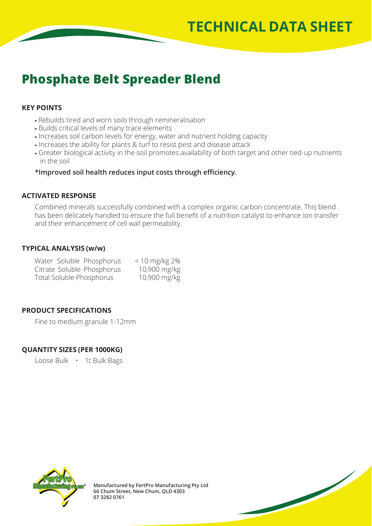# **Phosphate Belt Spreader Blend**

## **KEY POINTS**

- Rebuilds tired and worn soils through remineralisation
- Builds critical levels of many trace elements
- Increases soil carbon levels for energy, water and nutrient holding capacity
- Increases the ability for plants & turf to resist pest and disease attack
- Greater biological activity in the soil promotes availability of both target and other tied-up nutrients in the soil

**\*Improved soil health reduces input costs through efficiency.**

### **ACTIVATED RESPONSE**

Combined minerals successfully combined with a complex organic carbon concentrate. This blend has been delicately handled to ensure the full benefit of a nutrition catalyst to enhance ion transfer and their enhancement of cell wall permeability.

### **TYPICAL ANALYSIS (w/w)**

| Water Soluble Phosphorus   | $< 10$ mg/kg 2% |
|----------------------------|-----------------|
| Citrate Soluble Phosphorus | 10,900 mg/kg    |
| Total Soluble Phosphorus   | 10,900 mg/kg    |

## **PRODUCT SPECIFICATIONS**

Fine to medium granule 1-12mm

### **QUANTITY SIZES (PER 1000KG)**

Loose Bulk • 1t Bulk Bags